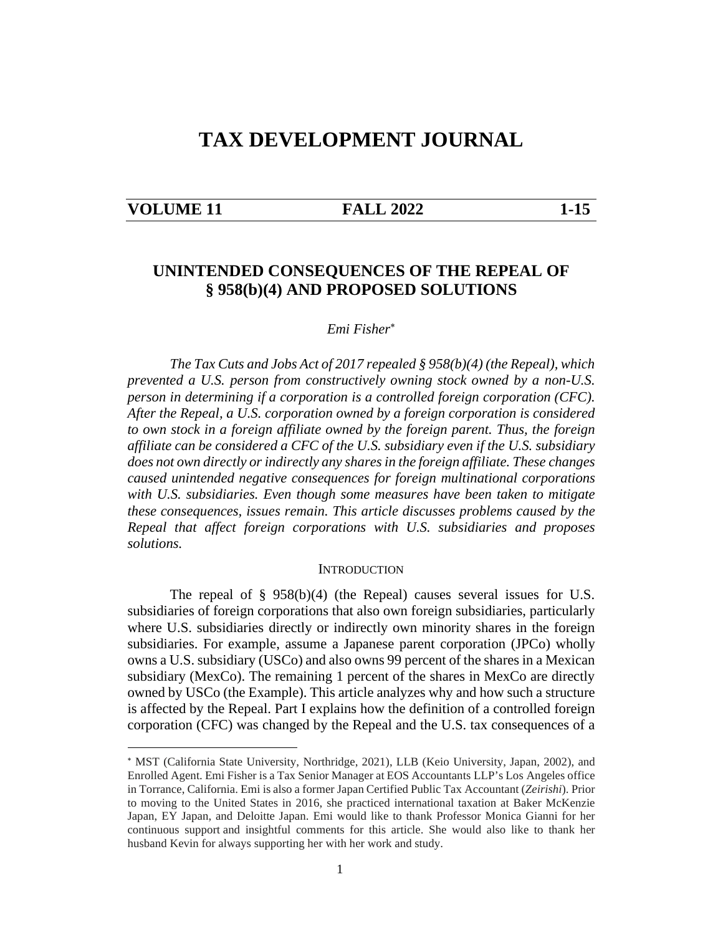# **TAX DEVELOPMENT JOURNAL**

#### **VOLUME 11 FALL 2022 1-15**

## **UNINTENDED CONSEQUENCES OF THE REPEAL OF § 958(b)(4) AND PROPOSED SOLUTIONS**

#### *Emi Fisher*

*The Tax Cuts and Jobs Act of 2017 repealed § 958(b)(4) (the Repeal), which prevented a U.S. person from constructively owning stock owned by a non-U.S. person in determining if a corporation is a controlled foreign corporation (CFC). After the Repeal, a U.S. corporation owned by a foreign corporation is considered to own stock in a foreign affiliate owned by the foreign parent. Thus, the foreign affiliate can be considered a CFC of the U.S. subsidiary even if the U.S. subsidiary does not own directly or indirectly any shares in the foreign affiliate. These changes caused unintended negative consequences for foreign multinational corporations with U.S. subsidiaries. Even though some measures have been taken to mitigate these consequences, issues remain. This article discusses problems caused by the Repeal that affect foreign corporations with U.S. subsidiaries and proposes solutions.* 

#### **INTRODUCTION**

The repeal of § 958(b)(4) (the Repeal) causes several issues for U.S. subsidiaries of foreign corporations that also own foreign subsidiaries, particularly where U.S. subsidiaries directly or indirectly own minority shares in the foreign subsidiaries. For example, assume a Japanese parent corporation (JPCo) wholly owns a U.S. subsidiary (USCo) and also owns 99 percent of the shares in a Mexican subsidiary (MexCo). The remaining 1 percent of the shares in MexCo are directly owned by USCo (the Example). This article analyzes why and how such a structure is affected by the Repeal. Part I explains how the definition of a controlled foreign corporation (CFC) was changed by the Repeal and the U.S. tax consequences of a

MST (California State University, Northridge, 2021), LLB (Keio University, Japan, 2002), and Enrolled Agent. Emi Fisher is a Tax Senior Manager at EOS Accountants LLP's Los Angeles office in Torrance, California. Emi is also a former Japan Certified Public Tax Accountant (*Zeirishi*). Prior to moving to the United States in 2016, she practiced international taxation at Baker McKenzie Japan, EY Japan, and Deloitte Japan. Emi would like to thank Professor Monica Gianni for her continuous support and insightful comments for this article. She would also like to thank her husband Kevin for always supporting her with her work and study.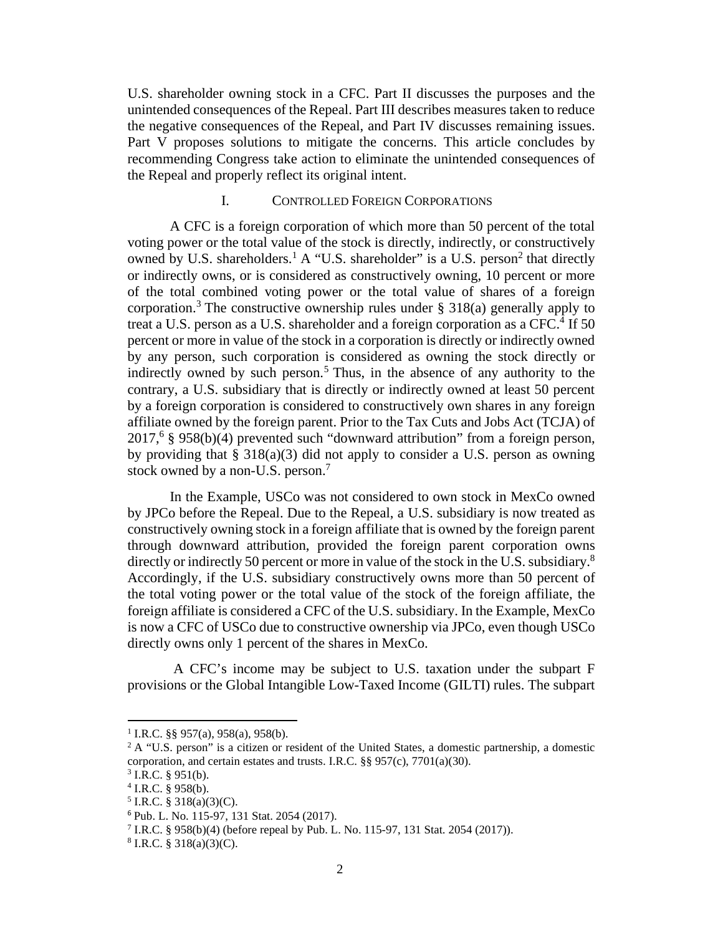U.S. shareholder owning stock in a CFC. Part II discusses the purposes and the unintended consequences of the Repeal. Part III describes measures taken to reduce the negative consequences of the Repeal, and Part IV discusses remaining issues. Part V proposes solutions to mitigate the concerns. This article concludes by recommending Congress take action to eliminate the unintended consequences of the Repeal and properly reflect its original intent.

#### I. CONTROLLED FOREIGN CORPORATIONS

A CFC is a foreign corporation of which more than 50 percent of the total voting power or the total value of the stock is directly, indirectly, or constructively owned by U.S. shareholders.<sup>1</sup> A "U.S. shareholder" is a U.S. person<sup>2</sup> that directly or indirectly owns, or is considered as constructively owning, 10 percent or more of the total combined voting power or the total value of shares of a foreign corporation.<sup>3</sup> The constructive ownership rules under  $\S$  318(a) generally apply to treat a U.S. person as a U.S. shareholder and a foreign corporation as a CFC.<sup>4</sup> If 50 percent or more in value of the stock in a corporation is directly or indirectly owned by any person, such corporation is considered as owning the stock directly or indirectly owned by such person.<sup>5</sup> Thus, in the absence of any authority to the contrary, a U.S. subsidiary that is directly or indirectly owned at least 50 percent by a foreign corporation is considered to constructively own shares in any foreign affiliate owned by the foreign parent. Prior to the Tax Cuts and Jobs Act (TCJA) of 2017,<sup>6</sup> § 958(b)(4) prevented such "downward attribution" from a foreign person, by providing that § 318(a)(3) did not apply to consider a U.S. person as owning stock owned by a non-U.S. person.<sup>7</sup>

In the Example, USCo was not considered to own stock in MexCo owned by JPCo before the Repeal. Due to the Repeal, a U.S. subsidiary is now treated as constructively owning stock in a foreign affiliate that is owned by the foreign parent through downward attribution, provided the foreign parent corporation owns directly or indirectly 50 percent or more in value of the stock in the U.S. subsidiary.<sup>8</sup> Accordingly, if the U.S. subsidiary constructively owns more than 50 percent of the total voting power or the total value of the stock of the foreign affiliate, the foreign affiliate is considered a CFC of the U.S. subsidiary. In the Example, MexCo is now a CFC of USCo due to constructive ownership via JPCo, even though USCo directly owns only 1 percent of the shares in MexCo.

 A CFC's income may be subject to U.S. taxation under the subpart F provisions or the Global Intangible Low-Taxed Income (GILTI) rules. The subpart

<sup>&</sup>lt;sup>1</sup> I.R.C. §§ 957(a), 958(a), 958(b).

 $2$  A "U.S. person" is a citizen or resident of the United States, a domestic partnership, a domestic corporation, and certain estates and trusts. I.R.C. §§ 957(c), 7701(a)(30).

 $3$  I.R.C. § 951(b).

 $4$  I.R.C. § 958(b).

 $5$  I.R.C. § 318(a)(3)(C).

<sup>6</sup> Pub. L. No. 115-97, 131 Stat. 2054 (2017).

<sup>&</sup>lt;sup>7</sup> I.R.C. § 958(b)(4) (before repeal by Pub. L. No. 115-97, 131 Stat. 2054 (2017)).

 $8$  I.R.C. § 318(a)(3)(C).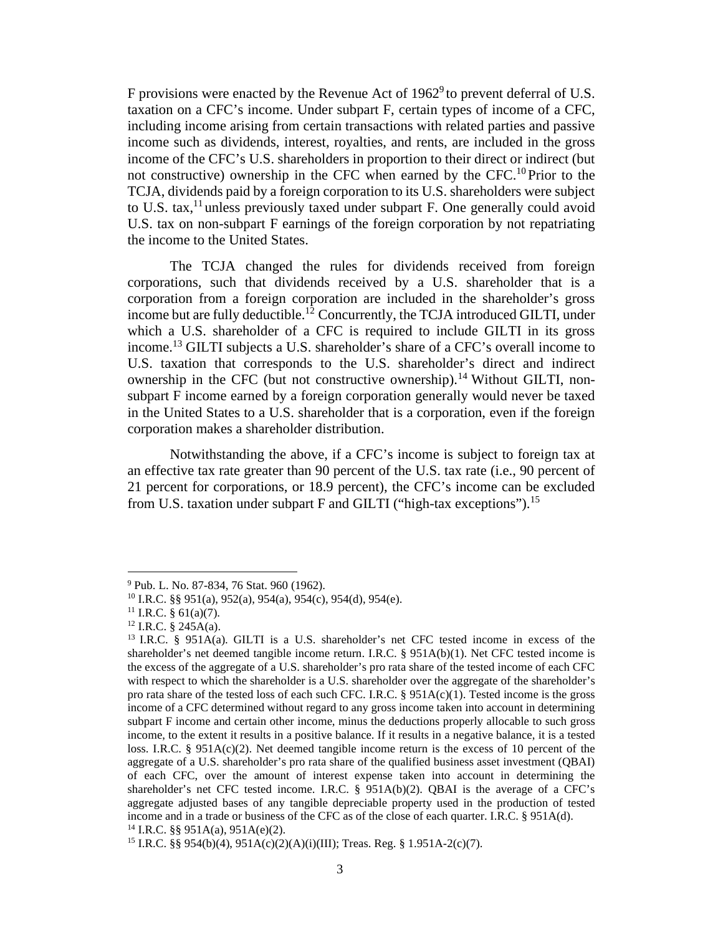F provisions were enacted by the Revenue Act of  $1962^{\circ}$  to prevent deferral of U.S. taxation on a CFC's income. Under subpart F, certain types of income of a CFC, including income arising from certain transactions with related parties and passive income such as dividends, interest, royalties, and rents, are included in the gross income of the CFC's U.S. shareholders in proportion to their direct or indirect (but not constructive) ownership in the CFC when earned by the CFC.<sup>10</sup>Prior to the TCJA, dividends paid by a foreign corporation to its U.S. shareholders were subject to U.S. tax,<sup>11</sup> unless previously taxed under subpart F. One generally could avoid U.S. tax on non-subpart F earnings of the foreign corporation by not repatriating the income to the United States.

The TCJA changed the rules for dividends received from foreign corporations, such that dividends received by a U.S. shareholder that is a corporation from a foreign corporation are included in the shareholder's gross income but are fully deductible.<sup>12</sup> Concurrently, the TCJA introduced GILTI, under which a U.S. shareholder of a CFC is required to include GILTI in its gross income.<sup>13</sup> GILTI subjects a U.S. shareholder's share of a CFC's overall income to U.S. taxation that corresponds to the U.S. shareholder's direct and indirect ownership in the CFC (but not constructive ownership).<sup>14</sup> Without GILTI, nonsubpart F income earned by a foreign corporation generally would never be taxed in the United States to a U.S. shareholder that is a corporation, even if the foreign corporation makes a shareholder distribution.

Notwithstanding the above, if a CFC's income is subject to foreign tax at an effective tax rate greater than 90 percent of the U.S. tax rate (i.e., 90 percent of 21 percent for corporations, or 18.9 percent), the CFC's income can be excluded from U.S. taxation under subpart  $F$  and GILTI ("high-tax exceptions").<sup>15</sup>

<sup>&</sup>lt;sup>9</sup> Pub. L. No. 87-834, 76 Stat. 960 (1962).

<sup>10</sup> I.R.C. §§ 951(a), 952(a), 954(a), 954(c), 954(d), 954(e).

 $11$  I.R.C. § 61(a)(7).

 $12$  I.R.C. § 245A(a).

<sup>13</sup> I.R.C. § 951A(a). GILTI is a U.S. shareholder's net CFC tested income in excess of the shareholder's net deemed tangible income return. I.R.C. § 951A(b)(1). Net CFC tested income is the excess of the aggregate of a U.S. shareholder's pro rata share of the tested income of each CFC with respect to which the shareholder is a U.S. shareholder over the aggregate of the shareholder's pro rata share of the tested loss of each such CFC. I.R.C.  $\S$  951A(c)(1). Tested income is the gross income of a CFC determined without regard to any gross income taken into account in determining subpart F income and certain other income, minus the deductions properly allocable to such gross income, to the extent it results in a positive balance. If it results in a negative balance, it is a tested loss. I.R.C. §  $951A(c)(2)$ . Net deemed tangible income return is the excess of 10 percent of the aggregate of a U.S. shareholder's pro rata share of the qualified business asset investment (QBAI) of each CFC, over the amount of interest expense taken into account in determining the shareholder's net CFC tested income. I.R.C. § 951A(b)(2). QBAI is the average of a CFC's aggregate adjusted bases of any tangible depreciable property used in the production of tested income and in a trade or business of the CFC as of the close of each quarter. I.R.C. § 951A(d). <sup>14</sup> I.R.C. §§ 951A(a), 951A(e)(2).

<sup>15</sup> I.R.C. §§ 954(b)(4), 951A(c)(2)(A)(i)(III); Treas. Reg. § 1.951A-2(c)(7).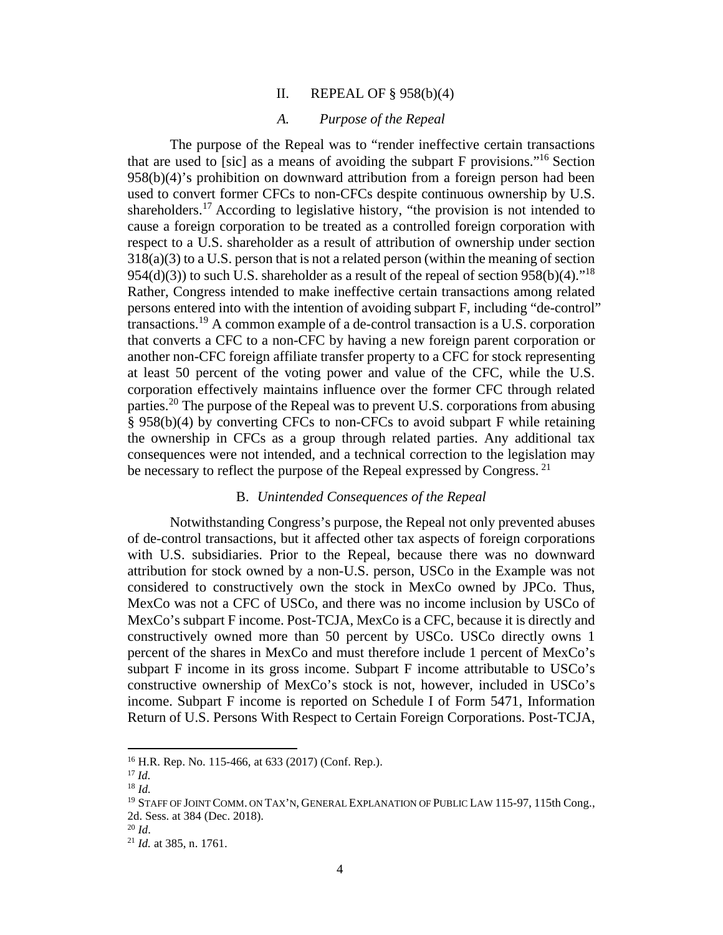### II. REPEAL OF § 958(b)(4)

#### *A. Purpose of the Repeal*

The purpose of the Repeal was to "render ineffective certain transactions that are used to [sic] as a means of avoiding the subpart  $F$  provisions."<sup>16</sup> Section 958(b)(4)'s prohibition on downward attribution from a foreign person had been used to convert former CFCs to non-CFCs despite continuous ownership by U.S. shareholders.<sup>17</sup> According to legislative history, "the provision is not intended to cause a foreign corporation to be treated as a controlled foreign corporation with respect to a U.S. shareholder as a result of attribution of ownership under section 318(a)(3) to a U.S. person that is not a related person (within the meaning of section 954(d)(3)) to such U.S. shareholder as a result of the repeal of section 958(b)(4).<sup>"18</sup> Rather, Congress intended to make ineffective certain transactions among related persons entered into with the intention of avoiding subpart F, including "de-control" transactions.<sup>19</sup> A common example of a de-control transaction is a U.S. corporation that converts a CFC to a non-CFC by having a new foreign parent corporation or another non-CFC foreign affiliate transfer property to a CFC for stock representing at least 50 percent of the voting power and value of the CFC, while the U.S. corporation effectively maintains influence over the former CFC through related parties.<sup>20</sup> The purpose of the Repeal was to prevent U.S. corporations from abusing § 958(b)(4) by converting CFCs to non-CFCs to avoid subpart F while retaining the ownership in CFCs as a group through related parties. Any additional tax consequences were not intended, and a technical correction to the legislation may be necessary to reflect the purpose of the Repeal expressed by Congress.  $^{21}$ 

#### B. *Unintended Consequences of the Repeal*

Notwithstanding Congress's purpose, the Repeal not only prevented abuses of de-control transactions, but it affected other tax aspects of foreign corporations with U.S. subsidiaries. Prior to the Repeal, because there was no downward attribution for stock owned by a non-U.S. person, USCo in the Example was not considered to constructively own the stock in MexCo owned by JPCo. Thus, MexCo was not a CFC of USCo, and there was no income inclusion by USCo of MexCo's subpart F income. Post-TCJA, MexCo is a CFC, because it is directly and constructively owned more than 50 percent by USCo. USCo directly owns 1 percent of the shares in MexCo and must therefore include 1 percent of MexCo's subpart F income in its gross income. Subpart F income attributable to USCo's constructive ownership of MexCo's stock is not, however, included in USCo's income. Subpart F income is reported on Schedule I of Form 5471, Information Return of U.S. Persons With Respect to Certain Foreign Corporations. Post-TCJA,

<sup>16</sup> H.R. Rep. No. 115-466, at 633 (2017) (Conf. Rep.).

<sup>17</sup> *Id.*

<sup>18</sup> *Id.*

<sup>&</sup>lt;sup>19</sup> STAFF OF JOINT COMM. ON TAX'N, GENERAL EXPLANATION OF PUBLIC LAW 115-97, 115th Cong., 2d. Sess. at 384 (Dec. 2018).

<sup>20</sup> *Id*.

<sup>21</sup> *Id.* at 385, n. 1761.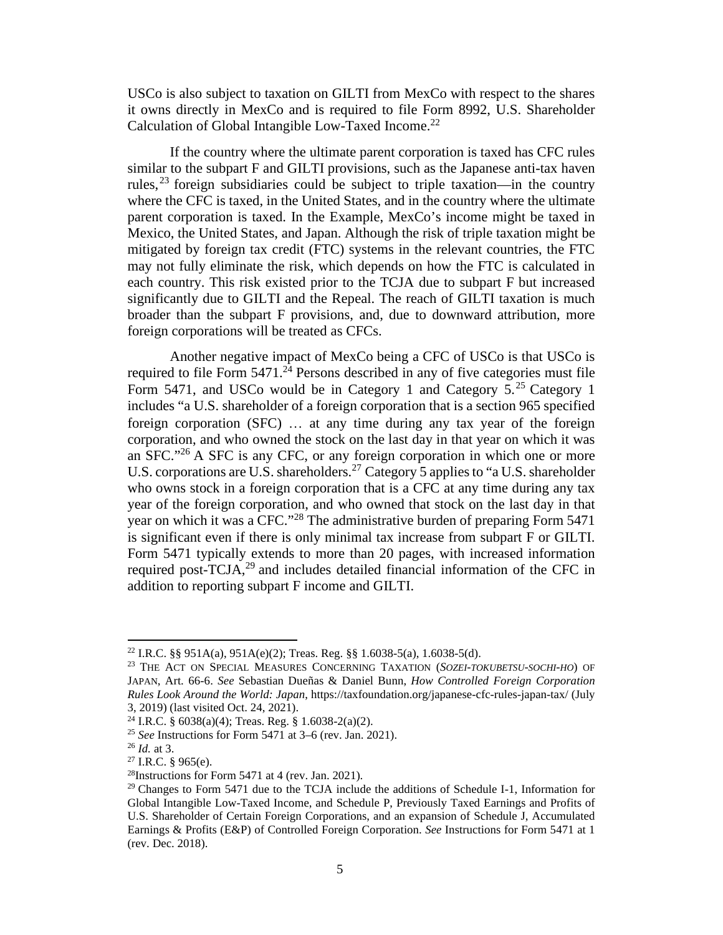USCo is also subject to taxation on GILTI from MexCo with respect to the shares it owns directly in MexCo and is required to file Form 8992, U.S. Shareholder Calculation of Global Intangible Low-Taxed Income.<sup>22</sup>

If the country where the ultimate parent corporation is taxed has CFC rules similar to the subpart F and GILTI provisions, such as the Japanese anti-tax haven rules,  $^{23}$  foreign subsidiaries could be subject to triple taxation—in the country where the CFC is taxed, in the United States, and in the country where the ultimate parent corporation is taxed. In the Example, MexCo's income might be taxed in Mexico, the United States, and Japan. Although the risk of triple taxation might be mitigated by foreign tax credit (FTC) systems in the relevant countries, the FTC may not fully eliminate the risk, which depends on how the FTC is calculated in each country. This risk existed prior to the TCJA due to subpart F but increased significantly due to GILTI and the Repeal. The reach of GILTI taxation is much broader than the subpart F provisions, and, due to downward attribution, more foreign corporations will be treated as CFCs.

Another negative impact of MexCo being a CFC of USCo is that USCo is required to file Form  $5471.<sup>24</sup>$  Persons described in any of five categories must file Form 5471, and USCo would be in Category 1 and Category 5.<sup>25</sup> Category 1 includes "a U.S. shareholder of a foreign corporation that is a section 965 specified foreign corporation  $(SFC)$  ... at any time during any tax year of the foreign corporation, and who owned the stock on the last day in that year on which it was an SFC."<sup>26</sup> A SFC is any CFC, or any foreign corporation in which one or more U.S. corporations are U.S. shareholders.<sup>27</sup> Category 5 applies to "a U.S. shareholder who owns stock in a foreign corporation that is a CFC at any time during any tax year of the foreign corporation, and who owned that stock on the last day in that year on which it was a CFC."<sup>28</sup> The administrative burden of preparing Form 5471 is significant even if there is only minimal tax increase from subpart F or GILTI. Form 5471 typically extends to more than 20 pages, with increased information required post-TCJA, $^{29}$  and includes detailed financial information of the CFC in addition to reporting subpart F income and GILTI.

<sup>&</sup>lt;sup>22</sup> I.R.C. §§ 951A(a), 951A(e)(2); Treas. Reg. §§ 1.6038-5(a), 1.6038-5(d).

<sup>23</sup> THE ACT ON SPECIAL MEASURES CONCERNING TAXATION (*SOZEI-TOKUBETSU-SOCHI-HO*) OF JAPAN, Art. 66-6. *See* Sebastian Dueñas & Daniel Bunn, *How Controlled Foreign Corporation Rules Look Around the World: Japan*, https://taxfoundation.org/japanese-cfc-rules-japan-tax/ (July 3, 2019) (last visited Oct. 24, 2021).

<sup>&</sup>lt;sup>24</sup> I.R.C. § 6038(a)(4); Treas. Reg. § 1.6038-2(a)(2).

<sup>25</sup> *See* Instructions for Form 5471 at 3–6 (rev. Jan. 2021).

<sup>26</sup> *Id.* at 3.

 $27$  I.R.C. § 965(e).

 $28$ Instructions for Form 5471 at 4 (rev. Jan. 2021).

 $29$  Changes to Form 5471 due to the TCJA include the additions of Schedule I-1, Information for Global Intangible Low-Taxed Income, and Schedule P, Previously Taxed Earnings and Profits of U.S. Shareholder of Certain Foreign Corporations, and an expansion of Schedule J, Accumulated Earnings & Profits (E&P) of Controlled Foreign Corporation. *See* Instructions for Form 5471 at 1 (rev. Dec. 2018).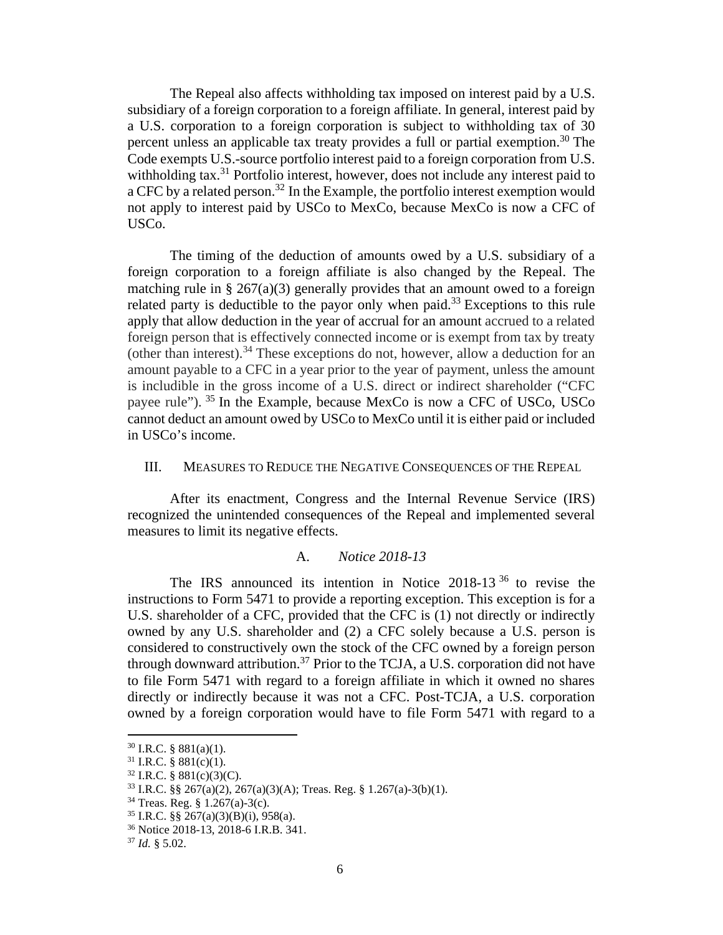The Repeal also affects withholding tax imposed on interest paid by a U.S. subsidiary of a foreign corporation to a foreign affiliate. In general, interest paid by a U.S. corporation to a foreign corporation is subject to withholding tax of 30 percent unless an applicable tax treaty provides a full or partial exemption.<sup>30</sup> The Code exempts U.S.-source portfolio interest paid to a foreign corporation from U.S. withholding tax.<sup>31</sup> Portfolio interest, however, does not include any interest paid to a CFC by a related person.<sup>32</sup> In the Example, the portfolio interest exemption would not apply to interest paid by USCo to MexCo, because MexCo is now a CFC of USCo.

The timing of the deduction of amounts owed by a U.S. subsidiary of a foreign corporation to a foreign affiliate is also changed by the Repeal. The matching rule in § 267(a)(3) generally provides that an amount owed to a foreign related party is deductible to the payor only when paid.<sup>33</sup> Exceptions to this rule apply that allow deduction in the year of accrual for an amount accrued to a related foreign person that is effectively connected income or is exempt from tax by treaty (other than interest).<sup>34</sup> These exceptions do not, however, allow a deduction for an amount payable to a CFC in a year prior to the year of payment, unless the amount is includible in the gross income of a U.S. direct or indirect shareholder ("CFC payee rule"). <sup>35</sup> In the Example, because MexCo is now a CFC of USCo, USCo cannot deduct an amount owed by USCo to MexCo until it is either paid or included in USCo's income.

#### III. MEASURES TO REDUCE THE NEGATIVE CONSEQUENCES OF THE REPEAL

After its enactment, Congress and the Internal Revenue Service (IRS) recognized the unintended consequences of the Repeal and implemented several measures to limit its negative effects.

#### A. *Notice 2018-13*

The IRS announced its intention in Notice  $2018-13^{36}$  to revise the instructions to Form 5471 to provide a reporting exception. This exception is for a U.S. shareholder of a CFC, provided that the CFC is (1) not directly or indirectly owned by any U.S. shareholder and (2) a CFC solely because a U.S. person is considered to constructively own the stock of the CFC owned by a foreign person through downward attribution.<sup>37</sup> Prior to the TCJA, a U.S. corporation did not have to file Form 5471 with regard to a foreign affiliate in which it owned no shares directly or indirectly because it was not a CFC. Post-TCJA, a U.S. corporation owned by a foreign corporation would have to file Form 5471 with regard to a

 $30$  I.R.C. § 881(a)(1).

 $31$  I.R.C. § 881(c)(1).

<sup>32</sup> I.R.C. § 881(c)(3)(C).

 $33$  I.R.C. §§ 267(a)(2), 267(a)(3)(A); Treas. Reg. § 1.267(a)-3(b)(1).

<sup>34</sup> Treas. Reg. § 1.267(a)-3(c).

 $35$  I.R.C. §§ 267(a)(3)(B)(i), 958(a).

<sup>36</sup> Notice 2018-13, 2018-6 I.R.B. 341.

<sup>37</sup> *Id.* § 5.02.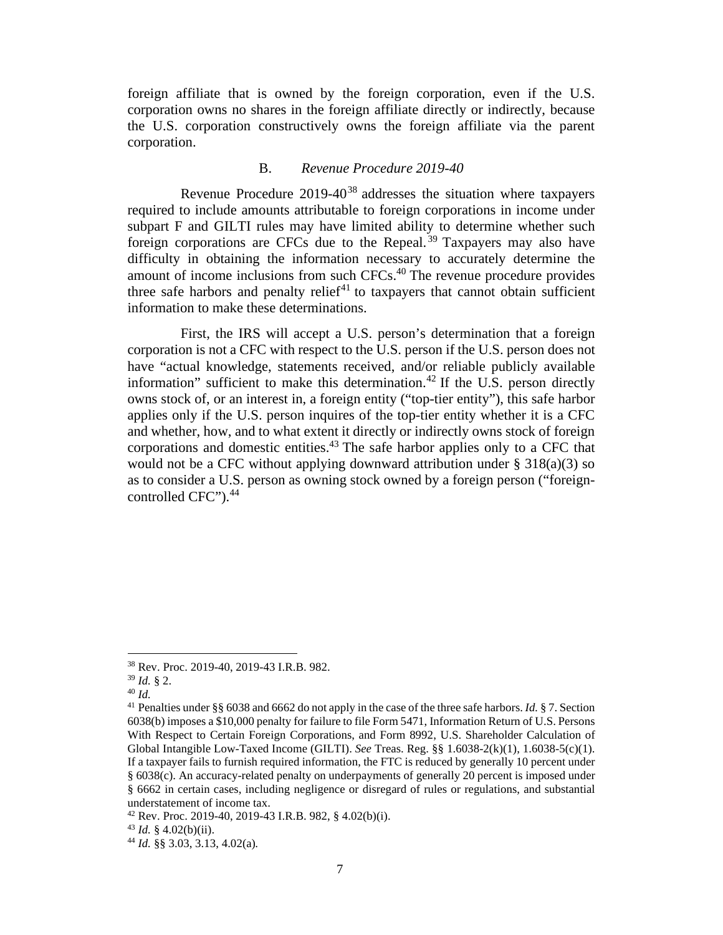foreign affiliate that is owned by the foreign corporation, even if the U.S. corporation owns no shares in the foreign affiliate directly or indirectly, because the U.S. corporation constructively owns the foreign affiliate via the parent corporation.

#### B. *Revenue Procedure 2019-40*

Revenue Procedure  $2019-40^{38}$  addresses the situation where taxpayers required to include amounts attributable to foreign corporations in income under subpart F and GILTI rules may have limited ability to determine whether such foreign corporations are CFCs due to the Repeal. <sup>39</sup> Taxpayers may also have difficulty in obtaining the information necessary to accurately determine the amount of income inclusions from such CFCs.<sup>40</sup> The revenue procedure provides three safe harbors and penalty relief $41$  to taxpayers that cannot obtain sufficient information to make these determinations.

First, the IRS will accept a U.S. person's determination that a foreign corporation is not a CFC with respect to the U.S. person if the U.S. person does not have "actual knowledge, statements received, and/or reliable publicly available information" sufficient to make this determination.<sup>42</sup> If the U.S. person directly owns stock of, or an interest in, a foreign entity ("top-tier entity"), this safe harbor applies only if the U.S. person inquires of the top-tier entity whether it is a CFC and whether, how, and to what extent it directly or indirectly owns stock of foreign corporations and domestic entities.<sup>43</sup> The safe harbor applies only to a CFC that would not be a CFC without applying downward attribution under § 318(a)(3) so as to consider a U.S. person as owning stock owned by a foreign person ("foreigncontrolled CFC").<sup>44</sup>

<sup>38</sup> Rev. Proc. 2019-40, 2019-43 I.R.B. 982.

<sup>39</sup> *Id.* § 2.

<sup>40</sup> *Id.*

<sup>41</sup> Penalties under §§ 6038 and 6662 do not apply in the case of the three safe harbors. *Id.* § 7. Section 6038(b) imposes a \$10,000 penalty for failure to file Form 5471, Information Return of U.S. Persons With Respect to Certain Foreign Corporations, and Form 8992, U.S. Shareholder Calculation of Global Intangible Low-Taxed Income (GILTI). *See* Treas. Reg. §§ 1.6038-2(k)(1), 1.6038-5(c)(1). If a taxpayer fails to furnish required information, the FTC is reduced by generally 10 percent under § 6038(c). An accuracy-related penalty on underpayments of generally 20 percent is imposed under § 6662 in certain cases, including negligence or disregard of rules or regulations, and substantial understatement of income tax.

 $42$  Rev. Proc. 2019-40, 2019-43 I.R.B. 982, § 4.02(b)(i).

 $43$  *Id.* § 4.02(b)(ii).

<sup>44</sup> *Id.* §§ 3.03, 3.13, 4.02(a)*.*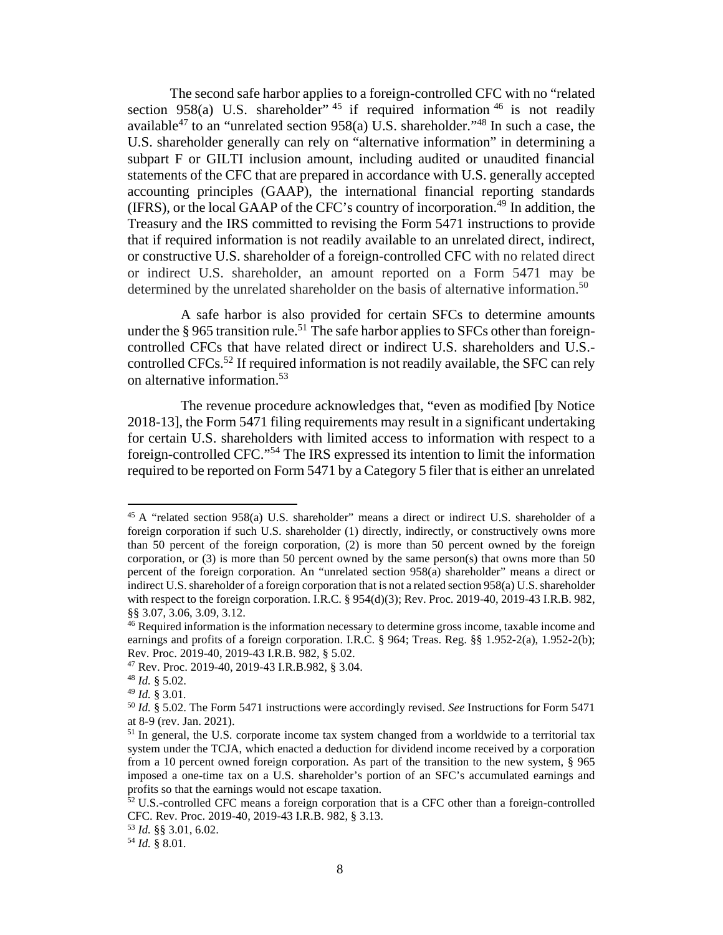The second safe harbor applies to a foreign-controlled CFC with no "related section 958(a) U.S. shareholder<sup>", 45</sup> if required information  $46$  is not readily available<sup>47</sup> to an "unrelated section 958(a) U.S. shareholder."<sup>48</sup> In such a case, the U.S. shareholder generally can rely on "alternative information" in determining a subpart F or GILTI inclusion amount, including audited or unaudited financial statements of the CFC that are prepared in accordance with U.S. generally accepted accounting principles (GAAP), the international financial reporting standards (IFRS), or the local GAAP of the CFC's country of incorporation.<sup>49</sup> In addition, the Treasury and the IRS committed to revising the Form 5471 instructions to provide that if required information is not readily available to an unrelated direct, indirect, or constructive U.S. shareholder of a foreign-controlled CFC with no related direct or indirect U.S. shareholder, an amount reported on a Form 5471 may be determined by the unrelated shareholder on the basis of alternative information.<sup>50</sup>

A safe harbor is also provided for certain SFCs to determine amounts under the  $\S 965$  transition rule.<sup>51</sup> The safe harbor applies to SFCs other than foreigncontrolled CFCs that have related direct or indirect U.S. shareholders and U.S. controlled CFCs.<sup>52</sup> If required information is not readily available, the SFC can rely on alternative information.<sup>53</sup>

The revenue procedure acknowledges that, "even as modified [by Notice 2018-13], the Form 5471 filing requirements may result in a significant undertaking for certain U.S. shareholders with limited access to information with respect to a foreign-controlled CFC."<sup>54</sup> The IRS expressed its intention to limit the information required to be reported on Form 5471 by a Category 5 filer that is either an unrelated

<sup>&</sup>lt;sup>45</sup> A "related section 958(a) U.S. shareholder" means a direct or indirect U.S. shareholder of a foreign corporation if such U.S. shareholder (1) directly, indirectly, or constructively owns more than 50 percent of the foreign corporation, (2) is more than 50 percent owned by the foreign corporation, or  $(3)$  is more than 50 percent owned by the same person $(s)$  that owns more than 50 percent of the foreign corporation. An "unrelated section 958(a) shareholder" means a direct or indirect U.S. shareholder of a foreign corporation that is not a related section 958(a) U.S. shareholder with respect to the foreign corporation. I.R.C. § 954(d)(3); Rev. Proc. 2019-40, 2019-43 I.R.B. 982, §§ 3.07, 3.06, 3.09, 3.12.

<sup>&</sup>lt;sup>46</sup> Required information is the information necessary to determine gross income, taxable income and earnings and profits of a foreign corporation. I.R.C. § 964; Treas. Reg. §§ 1.952-2(a), 1.952-2(b); Rev. Proc. 2019-40, 2019-43 I.R.B. 982, § 5.02.

<sup>47</sup> Rev. Proc. 2019-40, 2019-43 I.R.B.982, § 3.04.

<sup>48</sup> *Id.* § 5.02.

<sup>49</sup> *Id.* § 3.01*.*

<sup>50</sup> *Id.* § 5.02. The Form 5471 instructions were accordingly revised. *See* Instructions for Form 5471 at 8-9 (rev. Jan. 2021).

<sup>&</sup>lt;sup>51</sup> In general, the U.S. corporate income tax system changed from a worldwide to a territorial tax system under the TCJA, which enacted a deduction for dividend income received by a corporation from a 10 percent owned foreign corporation. As part of the transition to the new system, § 965 imposed a one-time tax on a U.S. shareholder's portion of an SFC's accumulated earnings and profits so that the earnings would not escape taxation.

 $52$  U.S.-controlled CFC means a foreign corporation that is a CFC other than a foreign-controlled CFC. Rev. Proc. 2019-40, 2019-43 I.R.B. 982, § 3.13.

<sup>53</sup> *Id.* §§ 3.01, 6.02.

<sup>54</sup> *Id.* § 8.01*.*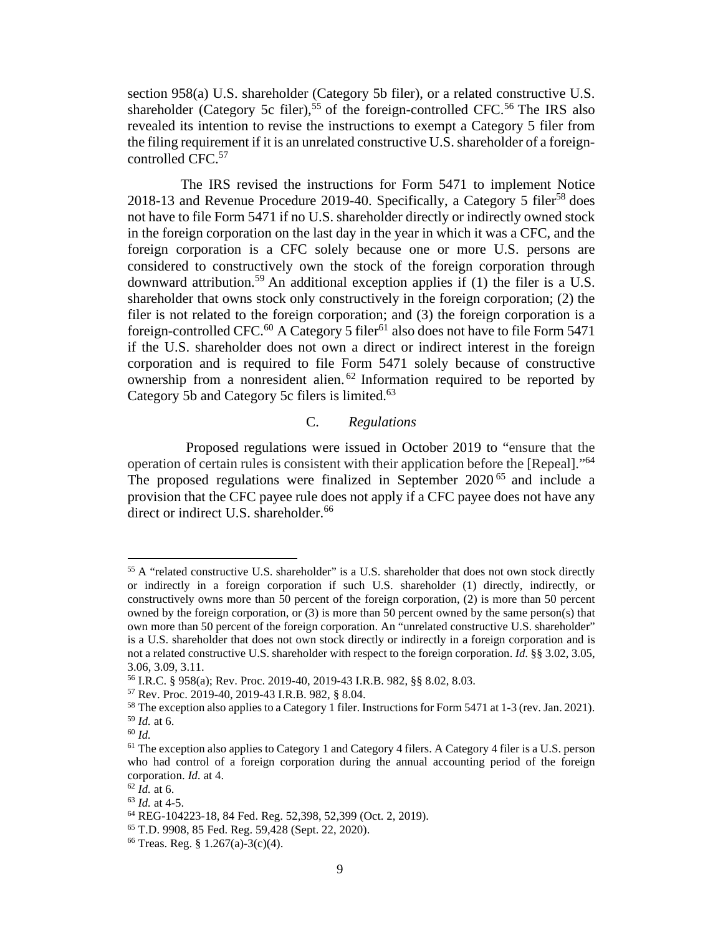section 958(a) U.S. shareholder (Category 5b filer), or a related constructive U.S. shareholder (Category 5c filer),<sup>55</sup> of the foreign-controlled CFC.<sup>56</sup> The IRS also revealed its intention to revise the instructions to exempt a Category 5 filer from the filing requirement if it is an unrelated constructive U.S. shareholder of a foreigncontrolled CFC.<sup>57</sup>

The IRS revised the instructions for Form 5471 to implement Notice 2018-13 and Revenue Procedure 2019-40. Specifically, a Category 5 filer<sup>58</sup> does not have to file Form 5471 if no U.S. shareholder directly or indirectly owned stock in the foreign corporation on the last day in the year in which it was a CFC, and the foreign corporation is a CFC solely because one or more U.S. persons are considered to constructively own the stock of the foreign corporation through downward attribution.<sup>59</sup> An additional exception applies if (1) the filer is a U.S. shareholder that owns stock only constructively in the foreign corporation; (2) the filer is not related to the foreign corporation; and (3) the foreign corporation is a foreign-controlled CFC.<sup>60</sup> A Category 5 filer<sup>61</sup> also does not have to file Form 5471 if the U.S. shareholder does not own a direct or indirect interest in the foreign corporation and is required to file Form 5471 solely because of constructive ownership from a nonresident alien. <sup>62</sup> Information required to be reported by Category 5b and Category 5c filers is limited.<sup>63</sup>

### C. *Regulations*

Proposed regulations were issued in October 2019 to "ensure that the operation of certain rules is consistent with their application before the [Repeal]."<sup>64</sup> The proposed regulations were finalized in September 2020 <sup>65</sup> and include a provision that the CFC payee rule does not apply if a CFC payee does not have any direct or indirect U.S. shareholder.<sup>66</sup>

<sup>&</sup>lt;sup>55</sup> A "related constructive U.S. shareholder" is a U.S. shareholder that does not own stock directly or indirectly in a foreign corporation if such U.S. shareholder (1) directly, indirectly, or constructively owns more than 50 percent of the foreign corporation, (2) is more than 50 percent owned by the foreign corporation, or (3) is more than 50 percent owned by the same person(s) that own more than 50 percent of the foreign corporation. An "unrelated constructive U.S. shareholder" is a U.S. shareholder that does not own stock directly or indirectly in a foreign corporation and is not a related constructive U.S. shareholder with respect to the foreign corporation. *Id*. §§ 3.02, 3.05, 3.06, 3.09, 3.11.

<sup>56</sup> I.R.C. § 958(a); Rev. Proc. 2019-40, 2019-43 I.R.B. 982, §§ 8.02, 8.03.

<sup>57</sup> Rev. Proc. 2019-40, 2019-43 I.R.B. 982, § 8.04.

<sup>&</sup>lt;sup>58</sup> The exception also applies to a Category 1 filer. Instructions for Form 5471 at 1-3 (rev. Jan. 2021). <sup>59</sup> *Id.* at 6.

<sup>60</sup> *Id.*

 $<sup>61</sup>$  The exception also applies to Category 1 and Category 4 filers. A Category 4 filer is a U.S. person</sup> who had control of a foreign corporation during the annual accounting period of the foreign corporation. *Id.* at 4.

<sup>62</sup> *Id.* at 6.

<sup>63</sup> *Id.* at 4-5.

<sup>64</sup> REG-104223-18, 84 Fed. Reg. 52,398, 52,399 (Oct. 2, 2019).

<sup>65</sup> T.D. 9908, 85 Fed. Reg. 59,428 (Sept. 22, 2020).

<sup>66</sup> Treas. Reg. § 1.267(a)-3(c)(4).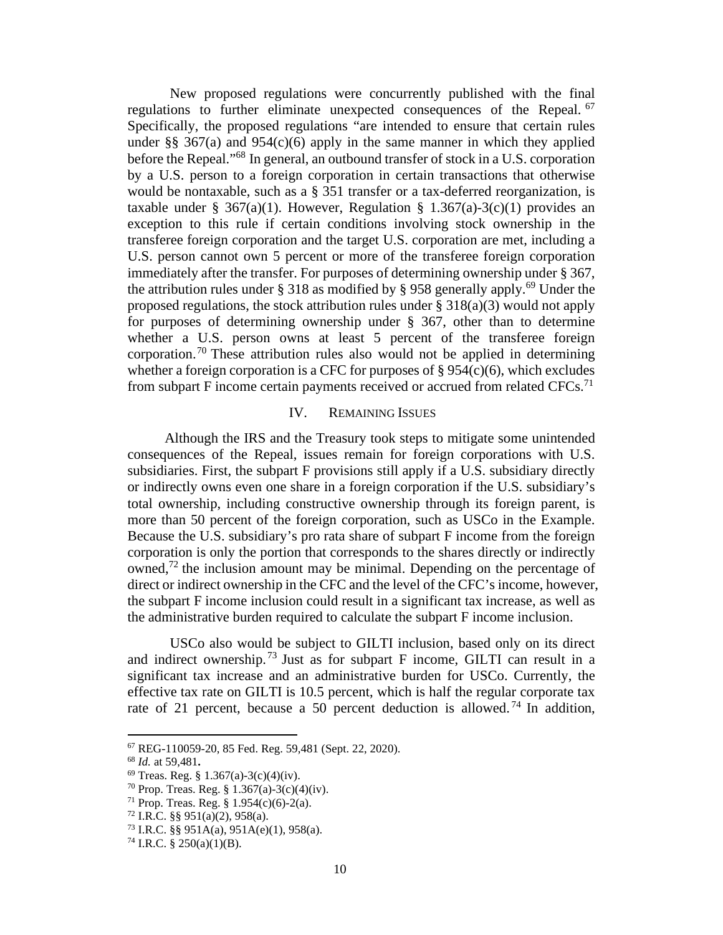New proposed regulations were concurrently published with the final regulations to further eliminate unexpected consequences of the Repeal. <sup>67</sup> Specifically, the proposed regulations "are intended to ensure that certain rules under §§ 367(a) and 954(c)(6) apply in the same manner in which they applied before the Repeal."<sup>68</sup> In general, an outbound transfer of stock in a U.S. corporation by a U.S. person to a foreign corporation in certain transactions that otherwise would be nontaxable, such as a § 351 transfer or a tax-deferred reorganization, is taxable under § 367(a)(1). However, Regulation § 1.367(a)-3(c)(1) provides an exception to this rule if certain conditions involving stock ownership in the transferee foreign corporation and the target U.S. corporation are met, including a U.S. person cannot own 5 percent or more of the transferee foreign corporation immediately after the transfer. For purposes of determining ownership under § 367, the attribution rules under  $\S 318$  as modified by  $\S 958$  generally apply.<sup>69</sup> Under the proposed regulations, the stock attribution rules under  $\S 318(a)(3)$  would not apply for purposes of determining ownership under § 367, other than to determine whether a U.S. person owns at least 5 percent of the transferee foreign corporation.<sup>70</sup> These attribution rules also would not be applied in determining whether a foreign corporation is a CFC for purposes of  $\S 954(c)(6)$ , which excludes from subpart F income certain payments received or accrued from related CFCs.<sup>71</sup>

#### IV. REMAINING ISSUES

Although the IRS and the Treasury took steps to mitigate some unintended consequences of the Repeal, issues remain for foreign corporations with U.S. subsidiaries. First, the subpart F provisions still apply if a U.S. subsidiary directly or indirectly owns even one share in a foreign corporation if the U.S. subsidiary's total ownership, including constructive ownership through its foreign parent, is more than 50 percent of the foreign corporation, such as USCo in the Example. Because the U.S. subsidiary's pro rata share of subpart F income from the foreign corporation is only the portion that corresponds to the shares directly or indirectly owned,<sup>72</sup> the inclusion amount may be minimal. Depending on the percentage of direct or indirect ownership in the CFC and the level of the CFC's income, however, the subpart F income inclusion could result in a significant tax increase, as well as the administrative burden required to calculate the subpart F income inclusion.

USCo also would be subject to GILTI inclusion, based only on its direct and indirect ownership.<sup>73</sup> Just as for subpart  $F$  income, GILTI can result in a significant tax increase and an administrative burden for USCo. Currently, the effective tax rate on GILTI is 10.5 percent, which is half the regular corporate tax rate of 21 percent, because a 50 percent deduction is allowed.<sup>74</sup> In addition,

<sup>67</sup> REG-110059-20, 85 Fed. Reg. 59,481 (Sept. 22, 2020).

<sup>68</sup> *Id.* at 59,481**.** 

 $69$  Treas. Reg. § 1.367(a)-3(c)(4)(iv).

<sup>&</sup>lt;sup>70</sup> Prop. Treas. Reg. § 1.367(a)-3(c)(4)(iv).

 $71$  Prop. Treas. Reg. § 1.954(c)(6)-2(a).

 $72$  I.R.C. §§ 951(a)(2), 958(a).

 $^{73}$  I.R.C. §§ 951A(a), 951A(e)(1), 958(a).

<sup>74</sup> I.R.C. § 250(a)(1)(B).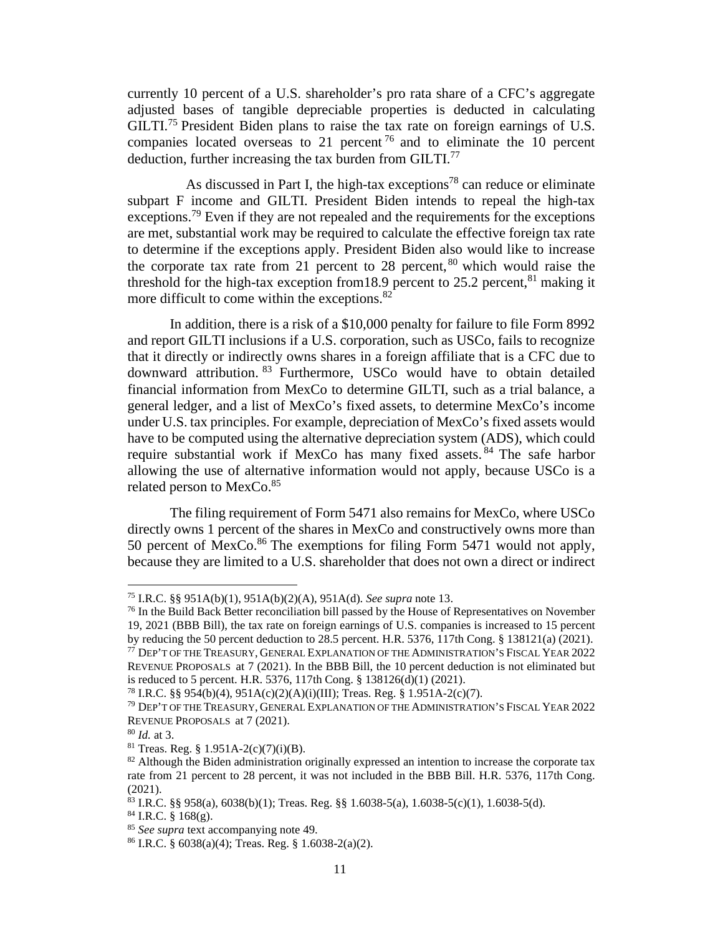currently 10 percent of a U.S. shareholder's pro rata share of a CFC's aggregate adjusted bases of tangible depreciable properties is deducted in calculating GILTI.<sup>75</sup> President Biden plans to raise the tax rate on foreign earnings of U.S. companies located overseas to 21 percent<sup>76</sup> and to eliminate the 10 percent deduction, further increasing the tax burden from GILTI.<sup>77</sup>

As discussed in Part I, the high-tax exceptions<sup>78</sup> can reduce or eliminate subpart F income and GILTI. President Biden intends to repeal the high-tax exceptions.<sup>79</sup> Even if they are not repealed and the requirements for the exceptions are met, substantial work may be required to calculate the effective foreign tax rate to determine if the exceptions apply. President Biden also would like to increase the corporate tax rate from 21 percent to 28 percent,  $80$  which would raise the threshold for the high-tax exception from 18.9 percent to 25.2 percent,  $81$  making it more difficult to come within the exceptions.<sup>82</sup>

In addition, there is a risk of a \$10,000 penalty for failure to file Form 8992 and report GILTI inclusions if a U.S. corporation, such as USCo, fails to recognize that it directly or indirectly owns shares in a foreign affiliate that is a CFC due to downward attribution. <sup>83</sup> Furthermore, USCo would have to obtain detailed financial information from MexCo to determine GILTI, such as a trial balance, a general ledger, and a list of MexCo's fixed assets, to determine MexCo's income under U.S. tax principles. For example, depreciation of MexCo's fixed assets would have to be computed using the alternative depreciation system (ADS), which could require substantial work if MexCo has many fixed assets. <sup>84</sup> The safe harbor allowing the use of alternative information would not apply, because USCo is a related person to MexCo.<sup>85</sup>

The filing requirement of Form 5471 also remains for MexCo, where USCo directly owns 1 percent of the shares in MexCo and constructively owns more than 50 percent of MexCo.<sup>86</sup> The exemptions for filing Form 5471 would not apply, because they are limited to a U.S. shareholder that does not own a direct or indirect

<sup>75</sup> I.R.C. §§ 951A(b)(1), 951A(b)(2)(A), 951A(d). *See supra* note 13.

<sup>&</sup>lt;sup>76</sup> In the Build Back Better reconciliation bill passed by the House of Representatives on November 19, 2021 (BBB Bill), the tax rate on foreign earnings of U.S. companies is increased to 15 percent by reducing the 50 percent deduction to 28.5 percent. H.R. 5376, 117th Cong. § 138121(a) (2021).  $^{77}$  Dep't of the Treasury, General Explanation of the Administration's Fiscal Year 2022 REVENUE PROPOSALS at 7 (2021). In the BBB Bill, the 10 percent deduction is not eliminated but is reduced to 5 percent. H.R. 5376, 117th Cong. § 138126(d)(1) (2021).

<sup>78</sup> I.R.C. §§ 954(b)(4), 951A(c)(2)(A)(i)(III); Treas. Reg. § 1.951A-2(c)(7).

<sup>79</sup> DEP'T OF THE TREASURY, GENERAL EXPLANATION OF THE ADMINISTRATION'S FISCAL YEAR 2022 REVENUE PROPOSALS at 7 (2021).

<sup>80</sup> *Id.* at 3.

 $^{81}$  Treas. Reg. § 1.951A-2(c)(7)(i)(B).

<sup>&</sup>lt;sup>82</sup> Although the Biden administration originally expressed an intention to increase the corporate tax rate from 21 percent to 28 percent, it was not included in the BBB Bill. H.R. 5376, 117th Cong. (2021).

<sup>83</sup> I.R.C. §§ 958(a), 6038(b)(1); Treas. Reg. §§ 1.6038-5(a), 1.6038-5(c)(1), 1.6038-5(d).

 $84$  I.R.C. § 168(g).

<sup>85</sup> *See supra* text accompanying note 49.

<sup>86</sup> I.R.C. § 6038(a)(4); Treas. Reg. § 1.6038-2(a)(2).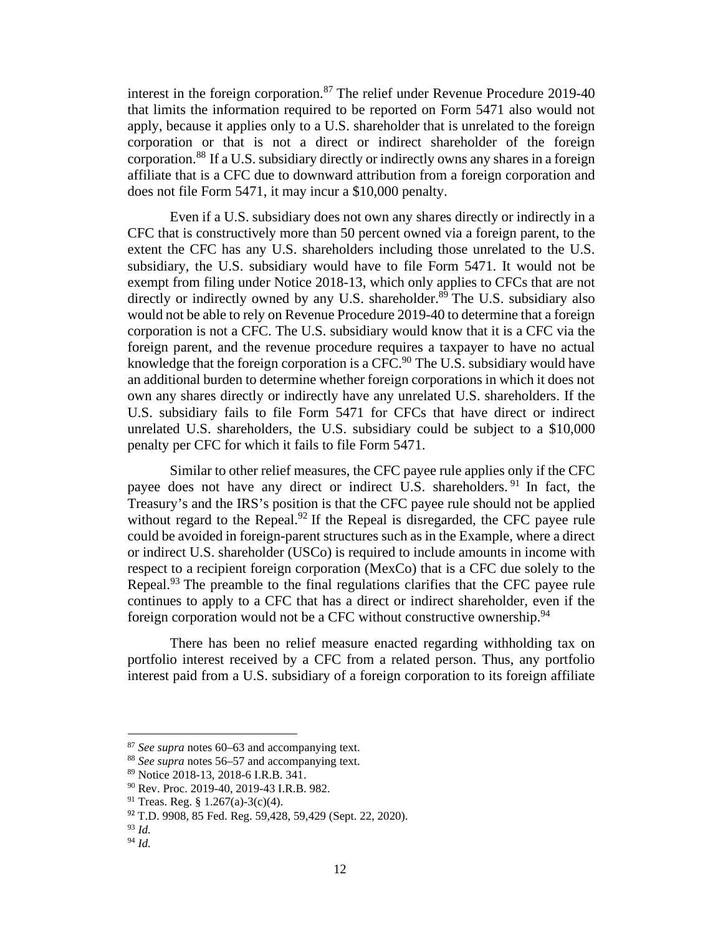interest in the foreign corporation.<sup>87</sup> The relief under Revenue Procedure 2019-40 that limits the information required to be reported on Form 5471 also would not apply, because it applies only to a U.S. shareholder that is unrelated to the foreign corporation or that is not a direct or indirect shareholder of the foreign corporation.<sup>88</sup> If a U.S. subsidiary directly or indirectly owns any shares in a foreign affiliate that is a CFC due to downward attribution from a foreign corporation and does not file Form 5471, it may incur a \$10,000 penalty.

Even if a U.S. subsidiary does not own any shares directly or indirectly in a CFC that is constructively more than 50 percent owned via a foreign parent, to the extent the CFC has any U.S. shareholders including those unrelated to the U.S. subsidiary, the U.S. subsidiary would have to file Form 5471. It would not be exempt from filing under Notice 2018-13, which only applies to CFCs that are not directly or indirectly owned by any U.S. shareholder.<sup>89</sup> The U.S. subsidiary also would not be able to rely on Revenue Procedure 2019-40 to determine that a foreign corporation is not a CFC. The U.S. subsidiary would know that it is a CFC via the foreign parent, and the revenue procedure requires a taxpayer to have no actual knowledge that the foreign corporation is a CFC.<sup>90</sup> The U.S. subsidiary would have an additional burden to determine whether foreign corporations in which it does not own any shares directly or indirectly have any unrelated U.S. shareholders. If the U.S. subsidiary fails to file Form 5471 for CFCs that have direct or indirect unrelated U.S. shareholders, the U.S. subsidiary could be subject to a \$10,000 penalty per CFC for which it fails to file Form 5471.

Similar to other relief measures, the CFC payee rule applies only if the CFC payee does not have any direct or indirect U.S. shareholders. <sup>91</sup> In fact, the Treasury's and the IRS's position is that the CFC payee rule should not be applied without regard to the Repeal.<sup>92</sup> If the Repeal is disregarded, the CFC payee rule could be avoided in foreign-parent structures such as in the Example, where a direct or indirect U.S. shareholder (USCo) is required to include amounts in income with respect to a recipient foreign corporation (MexCo) that is a CFC due solely to the Repeal.<sup>93</sup> The preamble to the final regulations clarifies that the CFC payee rule continues to apply to a CFC that has a direct or indirect shareholder, even if the foreign corporation would not be a CFC without constructive ownership.<sup>94</sup>

There has been no relief measure enacted regarding withholding tax on portfolio interest received by a CFC from a related person. Thus, any portfolio interest paid from a U.S. subsidiary of a foreign corporation to its foreign affiliate

<sup>87</sup> *See supra* notes 60–63 and accompanying text.

<sup>88</sup> *See supra* notes 56–57 and accompanying text.

<sup>89</sup> Notice 2018-13, 2018-6 I.R.B. 341.

<sup>90</sup> Rev. Proc. 2019-40, 2019-43 I.R.B. 982.

<sup>91</sup> Treas. Reg. § 1.267(a)-3(c)(4).

<sup>92</sup> T.D. 9908, 85 Fed. Reg. 59,428, 59,429 (Sept. 22, 2020).

<sup>93</sup> *Id.*

<sup>94</sup> *Id.*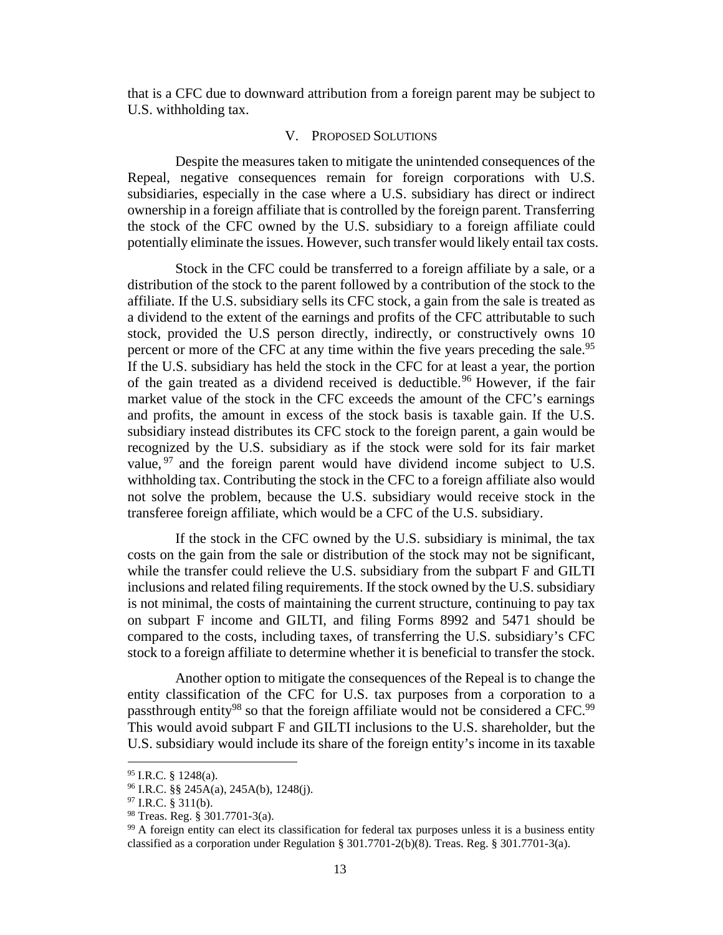that is a CFC due to downward attribution from a foreign parent may be subject to U.S. withholding tax.

#### V. PROPOSED SOLUTIONS

Despite the measures taken to mitigate the unintended consequences of the Repeal, negative consequences remain for foreign corporations with U.S. subsidiaries, especially in the case where a U.S. subsidiary has direct or indirect ownership in a foreign affiliate that is controlled by the foreign parent. Transferring the stock of the CFC owned by the U.S. subsidiary to a foreign affiliate could potentially eliminate the issues. However, such transfer would likely entail tax costs.

Stock in the CFC could be transferred to a foreign affiliate by a sale, or a distribution of the stock to the parent followed by a contribution of the stock to the affiliate. If the U.S. subsidiary sells its CFC stock, a gain from the sale is treated as a dividend to the extent of the earnings and profits of the CFC attributable to such stock, provided the U.S person directly, indirectly, or constructively owns 10 percent or more of the CFC at any time within the five years preceding the sale.<sup>95</sup> If the U.S. subsidiary has held the stock in the CFC for at least a year, the portion of the gain treated as a dividend received is deductible.<sup>96</sup> However, if the fair market value of the stock in the CFC exceeds the amount of the CFC's earnings and profits, the amount in excess of the stock basis is taxable gain. If the U.S. subsidiary instead distributes its CFC stock to the foreign parent, a gain would be recognized by the U.S. subsidiary as if the stock were sold for its fair market value,  $97$  and the foreign parent would have dividend income subject to U.S. withholding tax. Contributing the stock in the CFC to a foreign affiliate also would not solve the problem, because the U.S. subsidiary would receive stock in the transferee foreign affiliate, which would be a CFC of the U.S. subsidiary.

If the stock in the CFC owned by the U.S. subsidiary is minimal, the tax costs on the gain from the sale or distribution of the stock may not be significant, while the transfer could relieve the U.S. subsidiary from the subpart F and GILTI inclusions and related filing requirements. If the stock owned by the U.S. subsidiary is not minimal, the costs of maintaining the current structure, continuing to pay tax on subpart F income and GILTI, and filing Forms 8992 and 5471 should be compared to the costs, including taxes, of transferring the U.S. subsidiary's CFC stock to a foreign affiliate to determine whether it is beneficial to transfer the stock.

Another option to mitigate the consequences of the Repeal is to change the entity classification of the CFC for U.S. tax purposes from a corporation to a passthrough entity<sup>98</sup> so that the foreign affiliate would not be considered a CFC.<sup>99</sup> This would avoid subpart F and GILTI inclusions to the U.S. shareholder, but the U.S. subsidiary would include its share of the foreign entity's income in its taxable

 $95$  I.R.C. § 1248(a).

 $96$  I.R.C. §§ 245A(a), 245A(b), 1248(j).

 $97$  I.R.C. § 311(b).

<sup>98</sup> Treas. Reg. § 301.7701-3(a).

<sup>&</sup>lt;sup>99</sup> A foreign entity can elect its classification for federal tax purposes unless it is a business entity classified as a corporation under Regulation § 301.7701-2(b)(8). Treas. Reg. § 301.7701-3(a).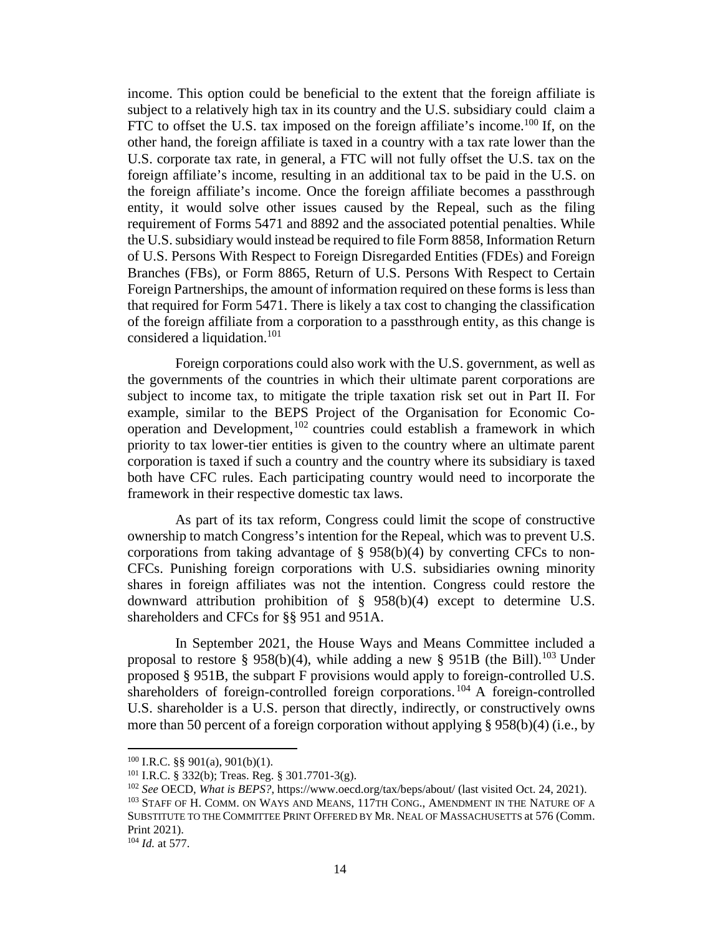income. This option could be beneficial to the extent that the foreign affiliate is subject to a relatively high tax in its country and the U.S. subsidiary could claim a FTC to offset the U.S. tax imposed on the foreign affiliate's income.<sup>100</sup> If, on the other hand, the foreign affiliate is taxed in a country with a tax rate lower than the U.S. corporate tax rate, in general, a FTC will not fully offset the U.S. tax on the foreign affiliate's income, resulting in an additional tax to be paid in the U.S. on the foreign affiliate's income. Once the foreign affiliate becomes a passthrough entity, it would solve other issues caused by the Repeal, such as the filing requirement of Forms 5471 and 8892 and the associated potential penalties. While the U.S. subsidiary would instead be required to file Form 8858, Information Return of U.S. Persons With Respect to Foreign Disregarded Entities (FDEs) and Foreign Branches (FBs), or Form 8865, Return of U.S. Persons With Respect to Certain Foreign Partnerships, the amount of information required on these forms is less than that required for Form 5471. There is likely a tax cost to changing the classification of the foreign affiliate from a corporation to a passthrough entity, as this change is considered a liquidation.<sup>101</sup>

Foreign corporations could also work with the U.S. government, as well as the governments of the countries in which their ultimate parent corporations are subject to income tax, to mitigate the triple taxation risk set out in Part II. For example, similar to the BEPS Project of the Organisation for Economic Cooperation and Development,  $102$  countries could establish a framework in which priority to tax lower-tier entities is given to the country where an ultimate parent corporation is taxed if such a country and the country where its subsidiary is taxed both have CFC rules. Each participating country would need to incorporate the framework in their respective domestic tax laws.

As part of its tax reform, Congress could limit the scope of constructive ownership to match Congress's intention for the Repeal, which was to prevent U.S. corporations from taking advantage of  $\S$  958(b)(4) by converting CFCs to non-CFCs. Punishing foreign corporations with U.S. subsidiaries owning minority shares in foreign affiliates was not the intention. Congress could restore the downward attribution prohibition of § 958(b)(4) except to determine U.S. shareholders and CFCs for §§ 951 and 951A.

In September 2021, the House Ways and Means Committee included a proposal to restore § 958(b)(4), while adding a new § 951B (the Bill).<sup>103</sup> Under proposed § 951B, the subpart F provisions would apply to foreign-controlled U.S. shareholders of foreign-controlled foreign corporations.<sup>104</sup> A foreign-controlled U.S. shareholder is a U.S. person that directly, indirectly, or constructively owns more than 50 percent of a foreign corporation without applying § 958(b)(4) (i.e., by

 $100$  I.R.C. §§ 901(a), 901(b)(1).

<sup>101</sup> I.R.C. § 332(b); Treas. Reg. § 301.7701-3(g).

<sup>102</sup> *See* OECD, *What is BEPS?*, https://www.oecd.org/tax/beps/about/ (last visited Oct. 24, 2021).

<sup>103</sup> STAFF OF H. COMM. ON WAYS AND MEANS, 117TH CONG., AMENDMENT IN THE NATURE OF A SUBSTITUTE TO THE COMMITTEE PRINT OFFERED BY MR. NEAL OF MASSACHUSETTS at 576 (Comm. Print 2021).

<sup>104</sup> *Id.* at 577.